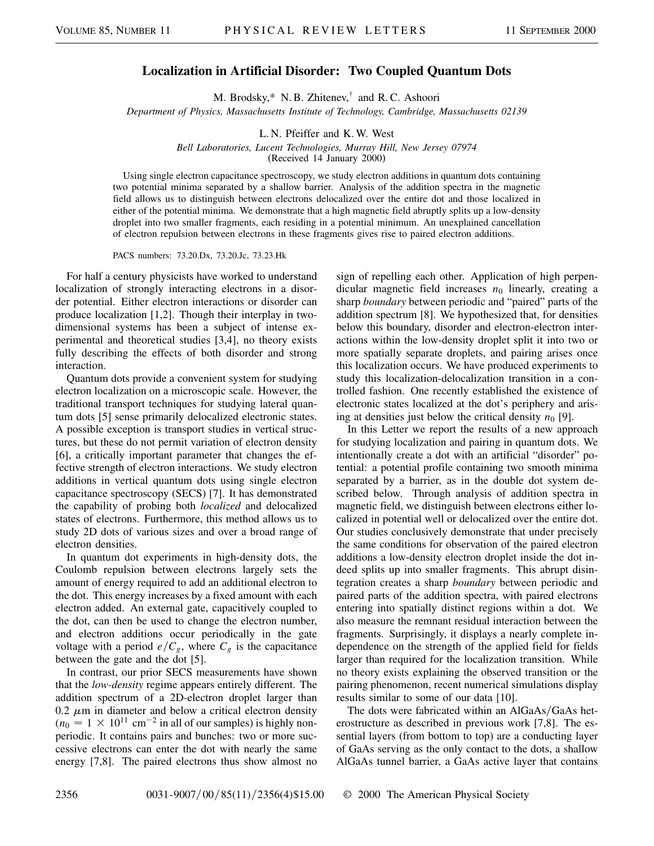## **Localization in Artificial Disorder: Two Coupled Quantum Dots**

M. Brodsky,\* N. B. Zhitenev,† and R. C. Ashoori

*Department of Physics, Massachusetts Institute of Technology, Cambridge, Massachusetts 02139*

L. N. Pfeiffer and K. W. West

*Bell Laboratories, Lucent Technologies, Murray Hill, New Jersey 07974*

(Received 14 January 2000)

Using single electron capacitance spectroscopy, we study electron additions in quantum dots containing two potential minima separated by a shallow barrier. Analysis of the addition spectra in the magnetic field allows us to distinguish between electrons delocalized over the entire dot and those localized in either of the potential minima. We demonstrate that a high magnetic field abruptly splits up a low-density droplet into two smaller fragments, each residing in a potential minimum. An unexplained cancellation of electron repulsion between electrons in these fragments gives rise to paired electron additions.

PACS numbers: 73.20.Dx, 73.20.Jc, 73.23.Hk

For half a century physicists have worked to understand localization of strongly interacting electrons in a disorder potential. Either electron interactions or disorder can produce localization [1,2]. Though their interplay in twodimensional systems has been a subject of intense experimental and theoretical studies [3,4], no theory exists fully describing the effects of both disorder and strong interaction.

Quantum dots provide a convenient system for studying electron localization on a microscopic scale. However, the traditional transport techniques for studying lateral quantum dots [5] sense primarily delocalized electronic states. A possible exception is transport studies in vertical structures, but these do not permit variation of electron density [6], a critically important parameter that changes the effective strength of electron interactions. We study electron additions in vertical quantum dots using single electron capacitance spectroscopy (SECS) [7]. It has demonstrated the capability of probing both *localized* and delocalized states of electrons. Furthermore, this method allows us to study 2D dots of various sizes and over a broad range of electron densities.

In quantum dot experiments in high-density dots, the Coulomb repulsion between electrons largely sets the amount of energy required to add an additional electron to the dot. This energy increases by a fixed amount with each electron added. An external gate, capacitively coupled to the dot, can then be used to change the electron number, and electron additions occur periodically in the gate voltage with a period  $e/C_g$ , where  $C_g$  is the capacitance between the gate and the dot [5].

In contrast, our prior SECS measurements have shown that the *low-density* regime appears entirely different. The addition spectrum of a 2D-electron droplet larger than 0.2  $\mu$ m in diameter and below a critical electron density  $(n_0 = 1 \times 10^{11}$  cm<sup>-2</sup> in all of our samples) is highly nonperiodic. It contains pairs and bunches: two or more successive electrons can enter the dot with nearly the same energy [7,8]. The paired electrons thus show almost no sign of repelling each other. Application of high perpendicular magnetic field increases  $n_0$  linearly, creating a sharp *boundary* between periodic and "paired" parts of the addition spectrum [8]. We hypothesized that, for densities below this boundary, disorder and electron-electron interactions within the low-density droplet split it into two or more spatially separate droplets, and pairing arises once this localization occurs. We have produced experiments to study this localization-delocalization transition in a controlled fashion. One recently established the existence of electronic states localized at the dot's periphery and arising at densities just below the critical density  $n_0$  [9].

In this Letter we report the results of a new approach for studying localization and pairing in quantum dots. We intentionally create a dot with an artificial "disorder" potential: a potential profile containing two smooth minima separated by a barrier, as in the double dot system described below. Through analysis of addition spectra in magnetic field, we distinguish between electrons either localized in potential well or delocalized over the entire dot. Our studies conclusively demonstrate that under precisely the same conditions for observation of the paired electron additions a low-density electron droplet inside the dot indeed splits up into smaller fragments. This abrupt disintegration creates a sharp *boundary* between periodic and paired parts of the addition spectra, with paired electrons entering into spatially distinct regions within a dot. We also measure the remnant residual interaction between the fragments. Surprisingly, it displays a nearly complete independence on the strength of the applied field for fields larger than required for the localization transition. While no theory exists explaining the observed transition or the pairing phenomenon, recent numerical simulations display results similar to some of our data [10].

The dots were fabricated within an AlGaAs/GaAs heterostructure as described in previous work [7,8]. The essential layers (from bottom to top) are a conducting layer of GaAs serving as the only contact to the dots, a shallow AlGaAs tunnel barrier, a GaAs active layer that contains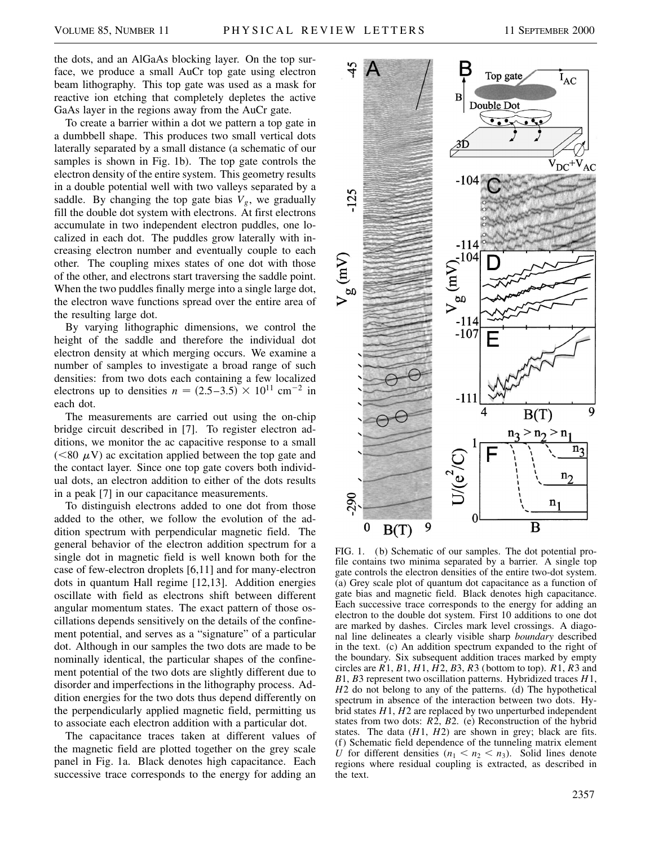the dots, and an AlGaAs blocking layer. On the top surface, we produce a small AuCr top gate using electron beam lithography. This top gate was used as a mask for reactive ion etching that completely depletes the active GaAs layer in the regions away from the AuCr gate.

To create a barrier within a dot we pattern a top gate in a dumbbell shape. This produces two small vertical dots laterally separated by a small distance (a schematic of our samples is shown in Fig. 1b). The top gate controls the electron density of the entire system. This geometry results in a double potential well with two valleys separated by a saddle. By changing the top gate bias  $V_g$ , we gradually fill the double dot system with electrons. At first electrons accumulate in two independent electron puddles, one localized in each dot. The puddles grow laterally with increasing electron number and eventually couple to each other. The coupling mixes states of one dot with those of the other, and electrons start traversing the saddle point. When the two puddles finally merge into a single large dot, the electron wave functions spread over the entire area of the resulting large dot.

By varying lithographic dimensions, we control the height of the saddle and therefore the individual dot electron density at which merging occurs. We examine a number of samples to investigate a broad range of such densities: from two dots each containing a few localized electrons up to densities  $n = (2.5-3.5) \times 10^{11}$  cm<sup>-2</sup> in each dot.

The measurements are carried out using the on-chip bridge circuit described in [7]. To register electron additions, we monitor the ac capacitive response to a small ( $\leq 80 \mu$ V) ac excitation applied between the top gate and the contact layer. Since one top gate covers both individual dots, an electron addition to either of the dots results in a peak [7] in our capacitance measurements.

To distinguish electrons added to one dot from those added to the other, we follow the evolution of the addition spectrum with perpendicular magnetic field. The general behavior of the electron addition spectrum for a single dot in magnetic field is well known both for the case of few-electron droplets [6,11] and for many-electron dots in quantum Hall regime [12,13]. Addition energies oscillate with field as electrons shift between different angular momentum states. The exact pattern of those oscillations depends sensitively on the details of the confinement potential, and serves as a "signature" of a particular dot. Although in our samples the two dots are made to be nominally identical, the particular shapes of the confinement potential of the two dots are slightly different due to disorder and imperfections in the lithography process. Addition energies for the two dots thus depend differently on the perpendicularly applied magnetic field, permitting us to associate each electron addition with a particular dot.

The capacitance traces taken at different values of the magnetic field are plotted together on the grey scale panel in Fig. 1a. Black denotes high capacitance. Each successive trace corresponds to the energy for adding an



FIG. 1. (b) Schematic of our samples. The dot potential profile contains two minima separated by a barrier. A single top gate controls the electron densities of the entire two-dot system. (a) Grey scale plot of quantum dot capacitance as a function of gate bias and magnetic field. Black denotes high capacitance. Each successive trace corresponds to the energy for adding an electron to the double dot system. First 10 additions to one dot are marked by dashes. Circles mark level crossings. A diagonal line delineates a clearly visible sharp *boundary* described in the text. (c) An addition spectrum expanded to the right of the boundary. Six subsequent addition traces marked by empty circles are  $\overline{R}$ 1,  $\overline{B}$ 1,  $\overline{H}$ 1,  $\overline{H}$ 2,  $\overline{B}$ 3,  $\overline{R}$ 3 (bottom to top).  $\overline{R}$ 1,  $\overline{R}$ 3 and *B*1, *B*3 represent two oscillation patterns. Hybridized traces *H*1, *H*2 do not belong to any of the patterns. (d) The hypothetical spectrum in absence of the interaction between two dots. Hybrid states *H*1, *H*2 are replaced by two unperturbed independent states from two dots: *R*2, *B*2. (e) Reconstruction of the hybrid states. The data (*H*1, *H*2) are shown in grey; black are fits. (f) Schematic field dependence of the tunneling matrix element *U* for different densities  $(n_1 \le n_2 \le n_3)$ . Solid lines denote regions where residual coupling is extracted, as described in the text.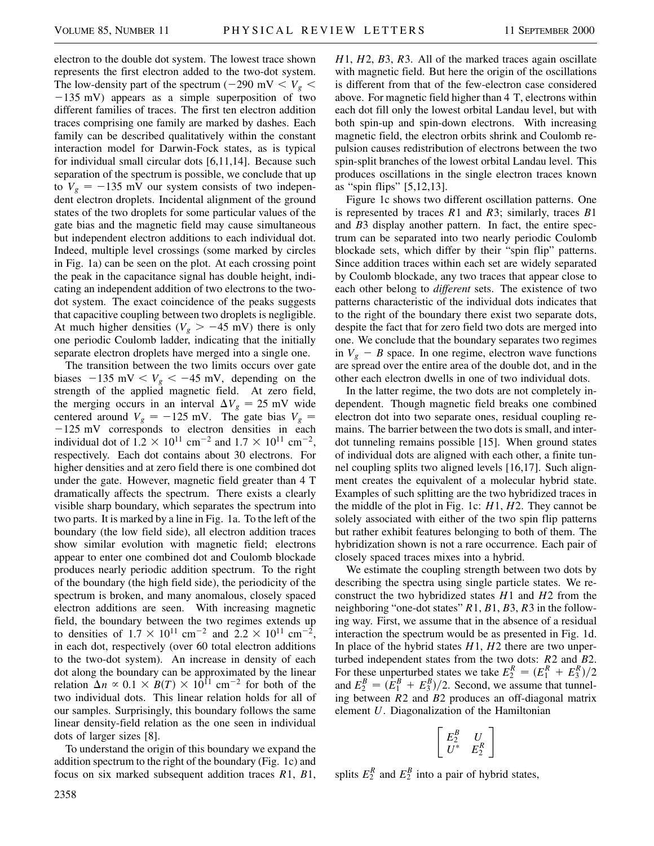electron to the double dot system. The lowest trace shown represents the first electron added to the two-dot system. The low-density part of the spectrum ( $-290$  mV  $< V_g$   $<$  $-135$  mV) appears as a simple superposition of two different families of traces. The first ten electron addition traces comprising one family are marked by dashes. Each family can be described qualitatively within the constant interaction model for Darwin-Fock states, as is typical for individual small circular dots [6,11,14]. Because such separation of the spectrum is possible, we conclude that up to  $V_g = -135$  mV our system consists of two independent electron droplets. Incidental alignment of the ground states of the two droplets for some particular values of the gate bias and the magnetic field may cause simultaneous but independent electron additions to each individual dot. Indeed, multiple level crossings (some marked by circles in Fig. 1a) can be seen on the plot. At each crossing point the peak in the capacitance signal has double height, indicating an independent addition of two electrons to the twodot system. The exact coincidence of the peaks suggests that capacitive coupling between two droplets is negligible. At much higher densities ( $V_g > -45$  mV) there is only one periodic Coulomb ladder, indicating that the initially separate electron droplets have merged into a single one.

The transition between the two limits occurs over gate biases  $-135$  mV  $V < V_g < -45$  mV, depending on the strength of the applied magnetic field. At zero field, the merging occurs in an interval  $\Delta V_g = 25$  mV wide centered around  $V_g = -125$  mV. The gate bias  $V_g =$  $-125$  mV corresponds to electron densities in each individual dot of  $1.2 \times 10^{11}$  cm<sup>-2</sup> and  $1.7 \times 10^{11}$  cm<sup>-2</sup>, respectively. Each dot contains about 30 electrons. For higher densities and at zero field there is one combined dot under the gate. However, magnetic field greater than 4 T dramatically affects the spectrum. There exists a clearly visible sharp boundary, which separates the spectrum into two parts. It is marked by a line in Fig. 1a. To the left of the boundary (the low field side), all electron addition traces show similar evolution with magnetic field; electrons appear to enter one combined dot and Coulomb blockade produces nearly periodic addition spectrum. To the right of the boundary (the high field side), the periodicity of the spectrum is broken, and many anomalous, closely spaced electron additions are seen. With increasing magnetic field, the boundary between the two regimes extends up to densities of  $1.7 \times 10^{11}$  cm<sup>-2</sup> and  $2.2 \times 10^{11}$  cm<sup>-2</sup>, in each dot, respectively (over 60 total electron additions to the two-dot system). An increase in density of each dot along the boundary can be approximated by the linear relation  $\Delta n \propto 0.1 \times B(T) \times 10^{11}$  cm<sup>-2</sup> for both of the two individual dots. This linear relation holds for all of our samples. Surprisingly, this boundary follows the same linear density-field relation as the one seen in individual dots of larger sizes [8].

To understand the origin of this boundary we expand the addition spectrum to the right of the boundary (Fig. 1c) and focus on six marked subsequent addition traces *R*1, *B*1,

*H*1, *H*2, *B*3, *R*3. All of the marked traces again oscillate with magnetic field. But here the origin of the oscillations is different from that of the few-electron case considered above. For magnetic field higher than 4 T, electrons within each dot fill only the lowest orbital Landau level, but with both spin-up and spin-down electrons. With increasing magnetic field, the electron orbits shrink and Coulomb repulsion causes redistribution of electrons between the two spin-split branches of the lowest orbital Landau level. This produces oscillations in the single electron traces known as "spin flips" [5,12,13].

Figure 1c shows two different oscillation patterns. One is represented by traces *R*1 and *R*3; similarly, traces *B*1 and *B*3 display another pattern. In fact, the entire spectrum can be separated into two nearly periodic Coulomb blockade sets, which differ by their "spin flip" patterns. Since addition traces within each set are widely separated by Coulomb blockade, any two traces that appear close to each other belong to *different* sets. The existence of two patterns characteristic of the individual dots indicates that to the right of the boundary there exist two separate dots, despite the fact that for zero field two dots are merged into one. We conclude that the boundary separates two regimes in  $V_g - B$  space. In one regime, electron wave functions are spread over the entire area of the double dot, and in the other each electron dwells in one of two individual dots.

In the latter regime, the two dots are not completely independent. Though magnetic field breaks one combined electron dot into two separate ones, residual coupling remains. The barrier between the two dots is small, and interdot tunneling remains possible [15]. When ground states of individual dots are aligned with each other, a finite tunnel coupling splits two aligned levels [16,17]. Such alignment creates the equivalent of a molecular hybrid state. Examples of such splitting are the two hybridized traces in the middle of the plot in Fig. 1c: *H*1, *H*2. They cannot be solely associated with either of the two spin flip patterns but rather exhibit features belonging to both of them. The hybridization shown is not a rare occurrence. Each pair of closely spaced traces mixes into a hybrid.

We estimate the coupling strength between two dots by describing the spectra using single particle states. We reconstruct the two hybridized states *H*1 and *H*2 from the neighboring "one-dot states" *R*1, *B*1, *B*3, *R*3 in the following way. First, we assume that in the absence of a residual interaction the spectrum would be as presented in Fig. 1d. In place of the hybrid states *H*1, *H*2 there are two unperturbed independent states from the two dots: *R*2 and *B*2. For these unperturbed states we take  $E_2^R = (E_1^R + E_3^R)/2$ and  $E_2^B = (\dot{E}_1^B + E_3^B)/2$ . Second, we assume that tunneling between *R*2 and *B*2 produces an off-diagonal matrix element *U*. Diagonalization of the Hamiltonian

$$
\left[ \begin{array}{cc} E_2^B & U \\ U^* & E_2^R \end{array} \right]
$$

splits  $E_2^R$  and  $E_2^B$  into a pair of hybrid states,